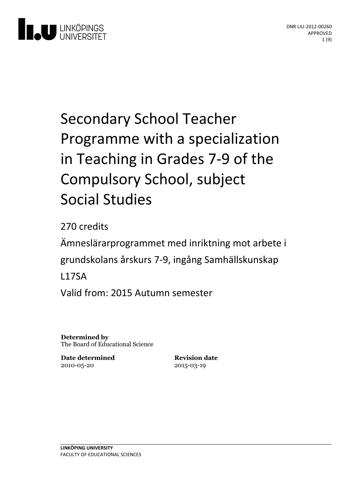

# Secondary School Teacher Programme with a specialization in Teaching in Grades 7-9 of the Compulsory School, subject Social Studies

270 credits

Ämneslärarprogrammet med inriktning motarbete i grundskolans årskurs 7-9, ingång Samhällskunskap L17SA Valid from: 2015 Autumn semester

**Determined by** The Board of Educational Science

**Date determined** 2010-05-20

**Revision date** 2015-03-19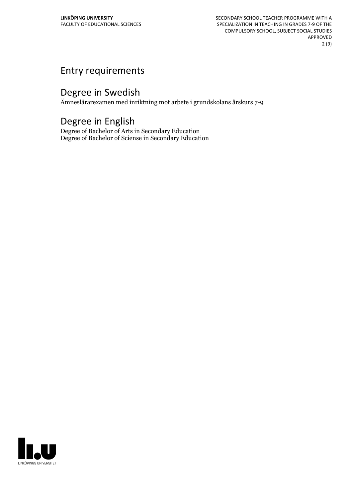SECONDARY SCHOOL TEACHER PROGRAMME WITH A SPECIALIZATION IN TEACHING IN GRADES 7-9 OF THE COMPULSORY SCHOOL, SUBJECT SOCIAL STUDIES APPROVED 2 (9)

# Entry requirements

# Degree in Swedish

Ämneslärarexamen med inriktning mot arbete i grundskolans årskurs 7-9

# Degree in English

Degree of Bachelor of Arts in Secondary Education Degree of Bachelor of Sciense in Secondary Education

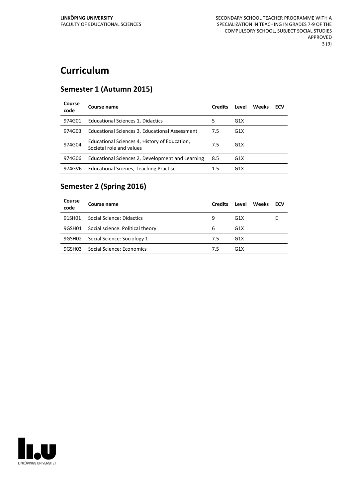# **Curriculum**

# **Semester 1 (Autumn 2015)**

| Course<br>code | Course name                                                               | <b>Credits</b> | Level            | Weeks | ECV |
|----------------|---------------------------------------------------------------------------|----------------|------------------|-------|-----|
| 974G01         | Educational Sciences 1, Didactics                                         | 5              | G <sub>1</sub> X |       |     |
| 974G03         | Educational Sciences 3, Educational Assessment                            | 7.5            | G <sub>1</sub> X |       |     |
| 974G04         | Educational Sciences 4, History of Education,<br>Societal role and values | 7.5            | G <sub>1</sub> X |       |     |
| 974G06         | Educational Sciences 2, Development and Learning                          | 8.5            | G <sub>1</sub> X |       |     |
| 974GV6         | <b>Educational Scienes, Teaching Practise</b>                             | 1.5            | G <sub>1</sub> X |       |     |

# **Semester 2 (Spring 2016)**

| Course<br>code | Course name                      | <b>Credits</b> | Level            | <b>Weeks</b> | <b>ECV</b> |
|----------------|----------------------------------|----------------|------------------|--------------|------------|
| 91SH01         | Social Science: Didactics        | 9              | G1X              |              |            |
| 9GSH01         | Social science: Political theory | 6              | G1X              |              |            |
| 9GSH02         | Social Science: Sociology 1      | 7.5            | G <sub>1</sub> X |              |            |
| 9GSH03         | Social Science: Economics        | 7.5            | G1X              |              |            |

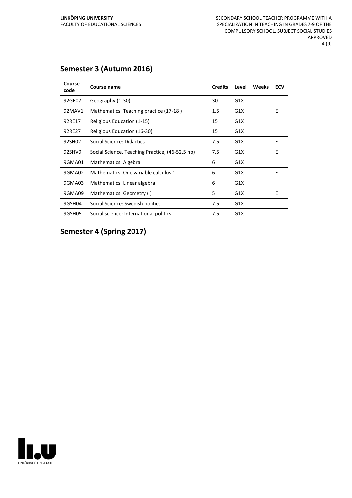# **Semester 3 (Autumn 2016)**

| Course<br>code | Course name                                     | <b>Credits</b> | Level | <b>Weeks</b> | ECV |
|----------------|-------------------------------------------------|----------------|-------|--------------|-----|
| 92GE07         | Geography (1-30)                                | 30             | G1X   |              |     |
| 92MAV1         | Mathematics: Teaching practice (17-18)          | 1.5            | G1X   |              | E   |
| 92RE17         | Religious Education (1-15)                      | 15             | G1X   |              |     |
| 92RE27         | Religious Education (16-30)                     | 15             | G1X   |              |     |
| 92SH02         | Social Science: Didactics                       | 7.5            | G1X   |              | E   |
| 92SHV9         | Social Science, Teaching Practice, (46-52,5 hp) | 7.5            | G1X   |              | F   |
| 9GMA01         | Mathematics: Algebra                            | 6              | G1X   |              |     |
| 9GMA02         | Mathematics: One variable calculus 1            | 6              | G1X   |              | E   |
| 9GMA03         | Mathematics: Linear algebra                     | 6              | G1X   |              |     |
| 9GMA09         | Mathematics: Geometry ()                        | 5              | G1X   |              | E   |
| 9GSH04         | Social Science: Swedish politics                | 7.5            | G1X   |              |     |
| 9GSH05         | Social science: International politics          | 7.5            | G1X   |              |     |

**Semester 4 (Spring 2017)**

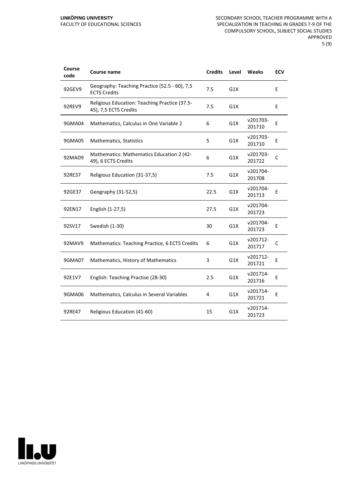#### **LINKÖPING UNIVERSITY** FACULTY OF EDUCATIONAL SCIENCES

| Course<br>code | Course name                                                            | <b>Credits</b> | Level | Weeks              | <b>ECV</b> |
|----------------|------------------------------------------------------------------------|----------------|-------|--------------------|------------|
| 92GEV9         | Geography: Teaching Practice (52.5 - 60), 7,5<br><b>ECTS Credits</b>   | 7.5            | G1X   |                    | E          |
| 92REV9         | Religious Education: Teaching Practice (37.5-<br>45), 7,5 ECTS Credits | 7.5            | G1X   |                    | E          |
| 9GMA04         | Mathematics, Calculus in One Variable 2                                | 6              | G1X   | v201703-<br>201710 | E          |
| 9GMA05         | <b>Mathematics, Statistics</b>                                         | 5              | G1X   | v201703-<br>201710 | E          |
| 92MAD9         | Mathematics: Mathematics Education 2 (42-<br>49), 6 ECTS Credits       | 6              | G1X   | v201703-<br>201722 | C          |
| 92RE37         | Religious Education (31-37,5)                                          | 7.5            | G1X   | v201704-<br>201708 |            |
| 92GE37         | Geography (31-52,5)                                                    | 22.5           | G1X   | v201704-<br>201713 | E          |
| 92EN17         | English (1-27,5)                                                       | 27.5           | G1X   | v201704-<br>201723 |            |
| 92SV17         | Swedish (1-30)                                                         | 30             | G1X   | v201704-<br>201723 | E          |
| 92MAV9         | Mathematics: Teaching Practice, 6 ECTS Credits                         | 6              | G1X   | v201712-<br>201717 | C          |
| 9GMA07         | Mathematics, History of Mathematics                                    | 3              | G1X   | v201712-<br>201721 | E          |
| 92E1V7         | English: Teaching Practise (28-30)                                     | 2.5            | G1X   | v201714-<br>201716 | Ε          |
| 9GMA06         | Mathematics, Calculus in Several Variables                             | 4              | G1X   | v201714-<br>201721 | E          |
| 92RE47         | Religious Education (41-60)                                            | 15             | G1X   | v201714-<br>201723 |            |

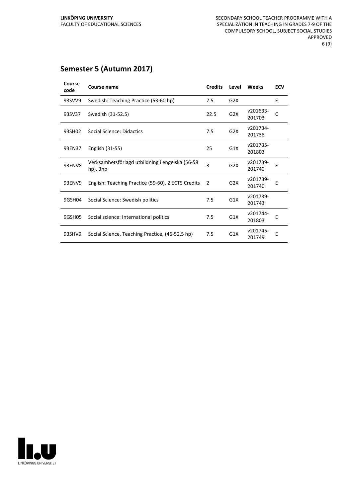# **Semester 5 (Autumn 2017)**

| Course<br>code | Course name                                                 | <b>Credits</b> | Level            | Weeks              | <b>ECV</b> |
|----------------|-------------------------------------------------------------|----------------|------------------|--------------------|------------|
| 93SVV9         | Swedish: Teaching Practice (53-60 hp)                       | 7.5            | G2X              |                    | E          |
| 93SV37         | Swedish (31-52.5)                                           | 22.5           | G2X              | v201633-<br>201703 | C          |
| 93SH02         | Social Science: Didactics                                   | 7.5            | G <sub>2</sub> X | v201734-<br>201738 |            |
| 93EN37         | English (31-55)                                             | 25             | G <sub>1</sub> X | v201735-<br>201803 |            |
| 93ENV8         | Verksamhetsförlagd utbildning i engelska (56-58<br>hp), 3hp | $\overline{3}$ | G2X              | v201739-<br>201740 | E          |
| 93ENV9         | English: Teaching Practice (59-60), 2 ECTS Credits          | 2              | G <sub>2</sub> X | v201739-<br>201740 | F          |
| 9GSH04         | Social Science: Swedish politics                            | 7.5            | G1X              | v201739-<br>201743 |            |
| 9GSH05         | Social science: International politics                      | 7.5            | G1X              | v201744-<br>201803 | Е          |
| 93SHV9         | Social Science, Teaching Practice, (46-52,5 hp)             | 7.5            | G1X              | v201745-<br>201749 | Е          |

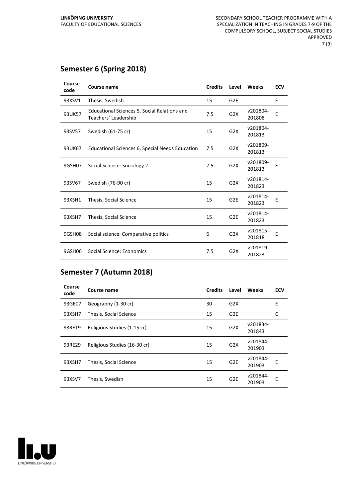# **Semester 6 (Spring 2018)**

| Course<br>code | Course name                                                          | <b>Credits</b> | Level            | <b>Weeks</b>       | <b>ECV</b> |
|----------------|----------------------------------------------------------------------|----------------|------------------|--------------------|------------|
| 93XSV1         | Thesis, Swedish                                                      | 15             | G <sub>2E</sub>  |                    | E          |
| 93UK57         | Educational Sciences 5, Social Relations and<br>Teachers' Leadership | 7.5            | G <sub>2</sub> X | v201804-<br>201808 | E          |
| 93SV57         | Swedish (61-75 cr)                                                   | 15             | G2X              | v201804-<br>201813 |            |
| 93UK67         | Educational Sciences 6, Special Needs Education                      | 7.5            | G2X              | v201809-<br>201813 |            |
| 9GSH07         | Social Science: Sociology 2                                          | 7.5            | G2X              | v201809-<br>201813 | E          |
| 93SV67         | Swedish (76-90 cr)                                                   | 15             | G2X              | v201814-<br>201823 |            |
| 93XSH1         | Thesis, Social Science                                               | 15             | G <sub>2E</sub>  | v201814-<br>201823 | E          |
| 93XSH7         | Thesis, Social Science                                               | 15             | G <sub>2E</sub>  | v201814-<br>201823 |            |
| 9GSH08         | Social science: Comparative politics                                 | 6              | G <sub>2</sub> X | v201815-<br>201818 | E          |
| 9GSH06         | Social Science: Economics                                            | 7.5            | G2X              | v201819-<br>201823 |            |

# **Semester 7 (Autumn 2018)**

| Course<br>code | Course name                  | <b>Credits</b> | Level           | Weeks              | <b>ECV</b> |
|----------------|------------------------------|----------------|-----------------|--------------------|------------|
| 93GE07         | Geography (1-30 cr)          | 30             | G2X             |                    | E          |
| 93XSH7         | Thesis, Social Science       | 15             | G2E             |                    | C          |
| 93RE19         | Religious Studies (1-15 cr)  | 15             | G2X             | v201834-<br>201843 |            |
| 93RE29         | Religious Studies (16-30 cr) | 15             | G2X             | v201844-<br>201903 |            |
| 93XSH7         | Thesis, Social Science       | 15             | G <sub>2E</sub> | v201844-<br>201903 | Е          |
| 93XSV7         | Thesis, Swedish              | 15             | G <sub>2E</sub> | v201844-<br>201903 | F          |

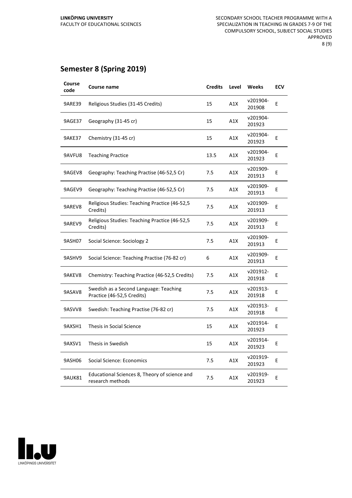# **Semester 8 (Spring 2019)**

| Course<br>code | Course name                                                          | <b>Credits</b> | Level | Weeks              | <b>ECV</b> |
|----------------|----------------------------------------------------------------------|----------------|-------|--------------------|------------|
| <b>9ARE39</b>  | Religious Studies (31-45 Credits)                                    | 15             | A1X   | v201904-<br>201908 | E          |
| 9AGE37         | Geography (31-45 cr)                                                 | 15             | A1X   | v201904-<br>201923 |            |
| 9AKE37         | Chemistry (31-45 cr)                                                 | 15             | A1X   | v201904-<br>201923 | E          |
| 9AVFU8         | <b>Teaching Practice</b>                                             | 13.5           | A1X   | v201904-<br>201923 | Е          |
| 9AGEV8         | Geography: Teaching Practise (46-52,5 Cr)                            | 7.5            | A1X   | v201909-<br>201913 | Е          |
| 9AGEV9         | Geography: Teaching Practise (46-52,5 Cr)                            | 7.5            | A1X   | v201909-<br>201913 | E          |
| 9AREV8         | Religious Studies: Teaching Practice (46-52,5<br>Credits)            | 7.5            | A1X   | v201909-<br>201913 | E          |
| 9AREV9         | Religious Studies: Teaching Practice (46-52,5<br>Credits)            | 7.5            | A1X   | v201909-<br>201913 | E          |
| 9ASH07         | Social Science: Sociology 2                                          | 7.5            | A1X   | v201909-<br>201913 | E          |
| 9ASHV9         | Social Science: Teaching Practise (76-82 cr)                         | 6              | A1X   | v201909-<br>201913 | E          |
| 9AKEV8         | Chemistry: Teaching Practice (46-52,5 Credits)                       | 7.5            | A1X   | v201912-<br>201918 | E          |
| 9ASAV8         | Swedish as a Second Language: Teaching<br>Practice (46-52,5 Credits) | 7.5            | A1X   | v201913-<br>201918 | E          |
| 9ASVV8         | Swedish: Teaching Practise (76-82 cr)                                | 7.5            | A1X   | v201913-<br>201918 | E          |
| 9AXSH1         | Thesis in Social Science                                             | 15             | A1X   | v201914-<br>201923 | E          |
| 9AXSV1         | Thesis in Swedish                                                    | 15             | A1X   | v201914-<br>201923 | E          |
| 9ASH06         | Social Science: Economics                                            | 7.5            | A1X   | v201919-<br>201923 | E          |
| 9AUK81         | Educational Sciences 8, Theory of science and<br>research methods    | 7.5            | A1X   | v201919-<br>201923 | E          |